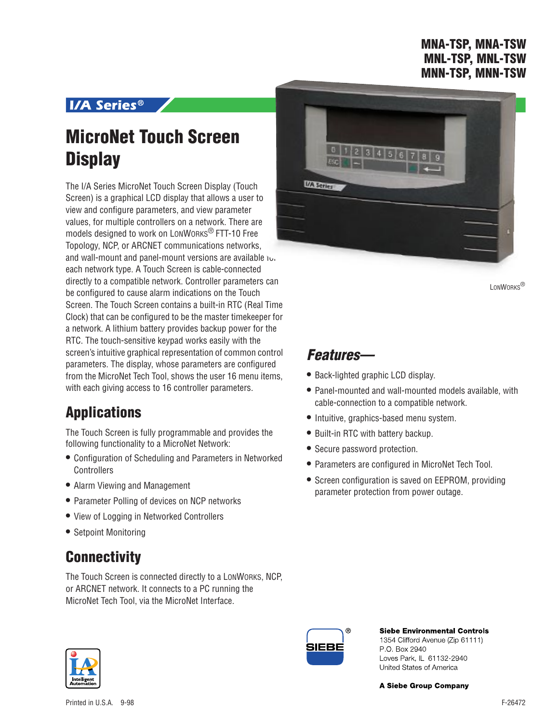### **MNA-TSP, MNA-TSW MNL-TSP, MNL-TSW MNN-TSP, MNN-TSW**

### **I/A Series<sup>®</sup>**

# **MicroNet Touch Screen Display**

The I/A Series MicroNet Touch Screen Display (Touch Screen) is a graphical LCD display that allows a user to view and configure parameters, and view parameter values, for multiple controllers on a network. There are models designed to work on LONWORKS® FTT-10 Free Topology, NCP, or ARCNET communications networks, and wall-mount and panel-mount versions are available  $\upsilon$ . each network type. A Touch Screen is cable-connected directly to a compatible network. Controller parameters can be configured to cause alarm indications on the Touch Screen. The Touch Screen contains a built-in RTC (Real Time Clock) that can be configured to be the master timekeeper for a network. A lithium battery provides backup power for the RTC. The touch-sensitive keypad works easily with the screen's intuitive graphical representation of common control parameters. The display, whose parameters are configured from the MicroNet Tech Tool, shows the user 16 menu items, with each giving access to 16 controller parameters.

# **Applications**

The Touch Screen is fully programmable and provides the following functionality to a MicroNet Network:

- **•** Configuration of Scheduling and Parameters in Networked **Controllers**
- **•** Alarm Viewing and Management
- **•** Parameter Polling of devices on NCP networks
- **•** View of Logging in Networked Controllers
- **•** Setpoint Monitoring

# **Connectivity**

The Touch Screen is connected directly to a LONWORKS, NCP, or ARCNET network. It connects to a PC running the MicroNet Tech Tool, via the MicroNet Interface.



LONWORKS<sup>®</sup>

## **Features—**

- **•** Back-lighted graphic LCD display.
- **•** Panel-mounted and wall-mounted models available, with cable-connection to a compatible network.
- **•** Intuitive, graphics-based menu system.
- **•** Built-in RTC with battery backup.
- **•** Secure password protection.
- **•** Parameters are configured in MicroNet Tech Tool.
- **•** Screen configuration is saved on EEPROM, providing parameter protection from power outage.



**Siebe Environmental Controls** 1354 Clifford Avenue (Zip 61111) P O. Box 2940 Loves Park, IL 61132-2940 United States of America

**A Siebe Group Company**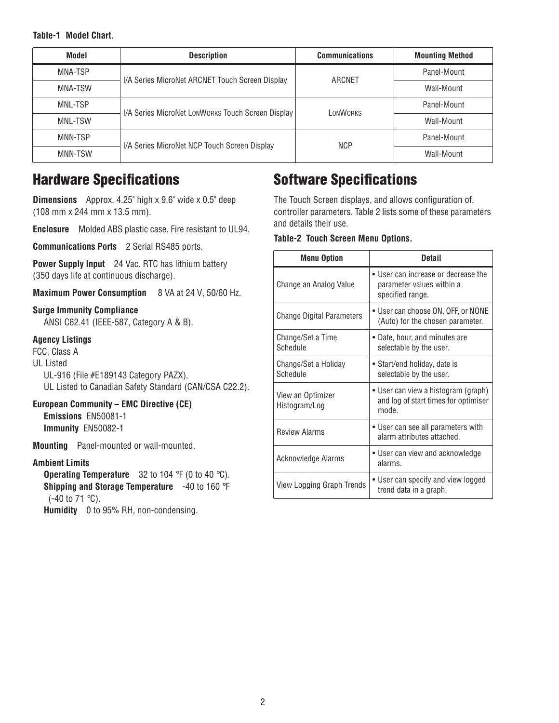### **Table-1 Model Chart**.

| Model   | <b>Description</b>                                | <b>Communications</b> | <b>Mounting Method</b> |
|---------|---------------------------------------------------|-----------------------|------------------------|
| MNA-TSP | I/A Series MicroNet ARCNET Touch Screen Display   | ARCNET                | Panel-Mount            |
| MNA-TSW |                                                   |                       | Wall-Mount             |
| MNL-TSP |                                                   | LONWORKS              | Panel-Mount            |
| MNL-TSW | I/A Series MicroNet LONWORKS Touch Screen Display |                       | Wall-Mount             |
| MNN-TSP |                                                   | <b>NCP</b>            | Panel-Mount            |
| MNN-TSW | I/A Series MicroNet NCP Touch Screen Display      |                       | Wall-Mount             |

### **Hardware Specifications**

**Dimensions** Approx. 4.25" high x 9.6" wide x 0.5" deep (108 mm x 244 mm x 13.5 mm).

**Enclosure** Molded ABS plastic case. Fire resistant to UL94.

**Communications Ports** 2 Serial RS485 ports.

**Power Supply Input** 24 Vac. RTC has lithium battery (350 days life at continuous discharge).

**Maximum Power Consumption** 8 VA at 24 V, 50/60 Hz.

### **Surge Immunity Compliance**

ANSI C62.41 (IEEE-587, Category A & B).

### **Agency Listings**

FCC, Class A UL Listed UL-916 (File #E189143 Category PAZX). UL Listed to Canadian Safety Standard (CAN/CSA C22.2).

**European Community – EMC Directive (CE) Emissions** EN50081-1 **Immunity** EN50082-1

**Mounting** Panel-mounted or wall-mounted.

### **Ambient Limits**

**Operating Temperature** 32 to 104 °F (0 to 40 °C). **Shipping and Storage Temperature** -40 to 160 °F (-40 to 71 °C).

**Humidity** 0 to 95% RH, non-condensing.

# **Software Specifications**

The Touch Screen displays, and allows configuration of, controller parameters. Table 2 lists some of these parameters and details their use.

#### **Table-2 Touch Screen Menu Options.**

| <b>Menu Option</b>                 | Detail                                                                               |  |
|------------------------------------|--------------------------------------------------------------------------------------|--|
| Change an Analog Value             | • User can increase or decrease the<br>parameter values within a<br>specified range. |  |
| <b>Change Digital Parameters</b>   | • User can choose ON, OFF, or NONE<br>(Auto) for the chosen parameter.               |  |
| Change/Set a Time<br>Schedule      | • Date, hour, and minutes are<br>selectable by the user.                             |  |
| Change/Set a Holiday<br>Schedule   | • Start/end holiday, date is<br>selectable by the user.                              |  |
| View an Optimizer<br>Histogram/Log | • User can view a histogram (graph)<br>and log of start times for optimiser<br>mode. |  |
| <b>Review Alarms</b>               | • User can see all parameters with<br>alarm attributes attached.                     |  |
| Acknowledge Alarms                 | • User can view and acknowledge<br>alarms.                                           |  |
| View Logging Graph Trends          | • User can specify and view logged<br>trend data in a graph.                         |  |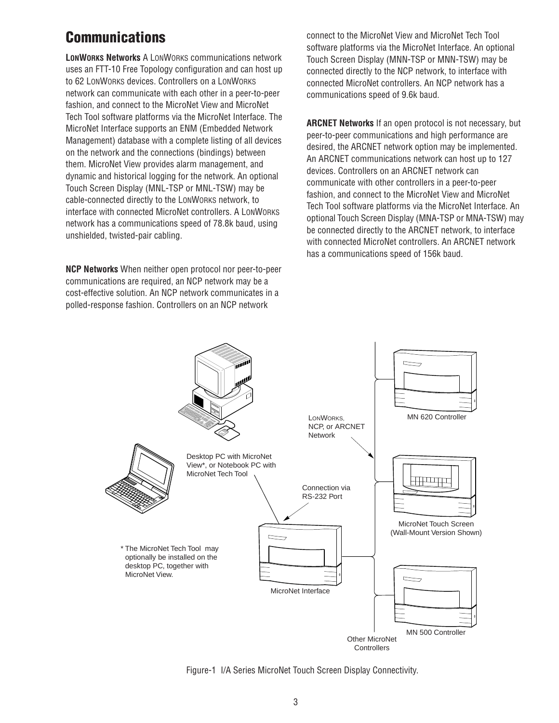# **Communications**

**LONWORKS Networks** A LONWORKS communications network uses an FTT-10 Free Topology configuration and can host up to 62 LONWORKS devices. Controllers on a LONWORKS network can communicate with each other in a peer-to-peer fashion, and connect to the MicroNet View and MicroNet Tech Tool software platforms via the MicroNet Interface. The MicroNet Interface supports an ENM (Embedded Network Management) database with a complete listing of all devices on the network and the connections (bindings) between them. MicroNet View provides alarm management, and dynamic and historical logging for the network. An optional Touch Screen Display (MNL-TSP or MNL-TSW) may be cable-connected directly to the LONWORKS network, to interface with connected MicroNet controllers. A LONWORKS network has a communications speed of 78.8k baud, using unshielded, twisted-pair cabling.

**NCP Networks** When neither open protocol nor peer-to-peer communications are required, an NCP network may be a cost-effective solution. An NCP network communicates in a polled-response fashion. Controllers on an NCP network

connect to the MicroNet View and MicroNet Tech Tool software platforms via the MicroNet Interface. An optional Touch Screen Display (MNN-TSP or MNN-TSW) may be connected directly to the NCP network, to interface with connected MicroNet controllers. An NCP network has a communications speed of 9.6k baud.

**ARCNET Networks** If an open protocol is not necessary, but peer-to-peer communications and high performance are desired, the ARCNET network option may be implemented. An ARCNET communications network can host up to 127 devices. Controllers on an ARCNET network can communicate with other controllers in a peer-to-peer fashion, and connect to the MicroNet View and MicroNet Tech Tool software platforms via the MicroNet Interface. An optional Touch Screen Display (MNA-TSP or MNA-TSW) may be connected directly to the ARCNET network, to interface with connected MicroNet controllers. An ARCNET network has a communications speed of 156k baud.



Figure-1 I/A Series MicroNet Touch Screen Display Connectivity.